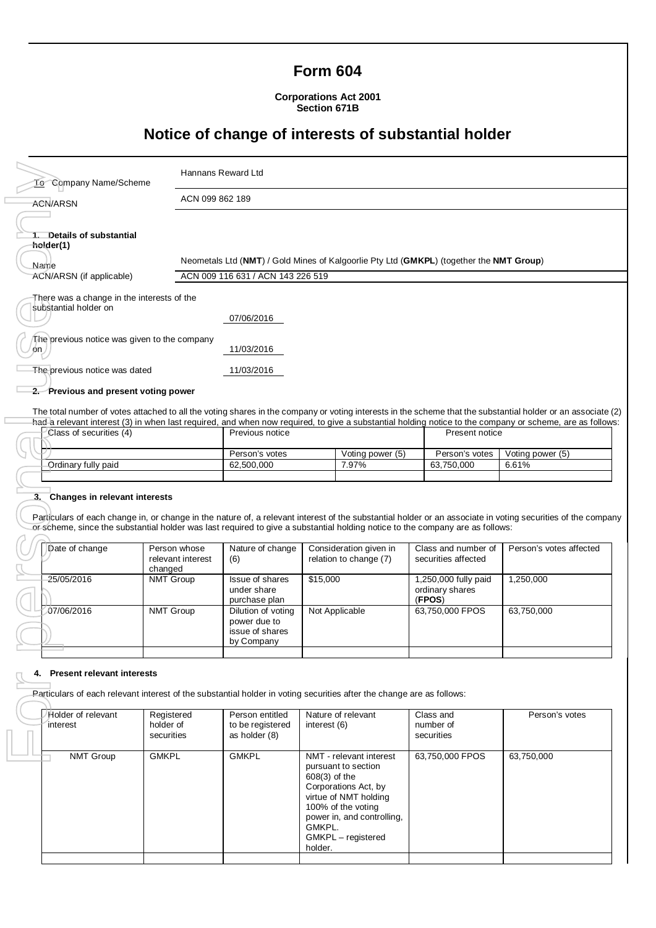## **Form 604**

**Corporations Act 2001 Section 671B**

# **Notice of change of interests of substantial holder**

| <b>To</b> Company Name/Scheme                                                                                                 |                                              | Hannans Reward Ltd                                                                                                           |                                       |                                                  |                                                   |                                            |                                                                                                                                                                                                                                                                                                                          |
|-------------------------------------------------------------------------------------------------------------------------------|----------------------------------------------|------------------------------------------------------------------------------------------------------------------------------|---------------------------------------|--------------------------------------------------|---------------------------------------------------|--------------------------------------------|--------------------------------------------------------------------------------------------------------------------------------------------------------------------------------------------------------------------------------------------------------------------------------------------------------------------------|
| <b>ACN/ARSN</b>                                                                                                               | ACN 099 862 189                              |                                                                                                                              |                                       |                                                  |                                                   |                                            |                                                                                                                                                                                                                                                                                                                          |
| 1. Details of substantial<br>holder(1)<br>Name<br>ACN/ARSN (if applicable)                                                    |                                              | Neometals Ltd (NMT) / Gold Mines of Kalgoorlie Pty Ltd (GMKPL) (together the NMT Group)<br>ACN 009 116 631 / ACN 143 226 519 |                                       |                                                  |                                                   |                                            |                                                                                                                                                                                                                                                                                                                          |
| There was a change in the interests of the                                                                                    |                                              |                                                                                                                              |                                       |                                                  |                                                   |                                            |                                                                                                                                                                                                                                                                                                                          |
| substantial holder on                                                                                                         |                                              | 07/06/2016                                                                                                                   |                                       |                                                  |                                                   |                                            |                                                                                                                                                                                                                                                                                                                          |
| The previous notice was given to the company<br>on∠                                                                           |                                              | 11/03/2016                                                                                                                   |                                       |                                                  |                                                   |                                            |                                                                                                                                                                                                                                                                                                                          |
| The previous notice was dated                                                                                                 |                                              | 11/03/2016                                                                                                                   |                                       |                                                  |                                                   |                                            |                                                                                                                                                                                                                                                                                                                          |
| 2. Previous and present voting power                                                                                          |                                              |                                                                                                                              |                                       |                                                  |                                                   |                                            |                                                                                                                                                                                                                                                                                                                          |
| Class of securities (4)                                                                                                       |                                              | Previous notice                                                                                                              |                                       |                                                  |                                                   | Present notice                             | The total number of votes attached to all the voting shares in the company or voting interests in the scheme that the substantial holder or an associate (2)<br>had a relevant interest (3) in when last required, and when now required, to give a substantial holding notice to the company or scheme, are as follows: |
| Ordinary fully paid                                                                                                           |                                              |                                                                                                                              | Person's votes<br>62.500.000<br>7.97% |                                                  | Voting power (5)<br>Person's votes<br>63,750,000  |                                            | Voting power (5)<br>6.61%                                                                                                                                                                                                                                                                                                |
| 3. Changes in relevant interests                                                                                              |                                              |                                                                                                                              |                                       |                                                  |                                                   |                                            |                                                                                                                                                                                                                                                                                                                          |
| or scheme, since the substantial holder was last required to give a substantial holding notice to the company are as follows: |                                              |                                                                                                                              |                                       |                                                  |                                                   |                                            | Particulars of each change in, or change in the nature of, a relevant interest of the substantial holder or an associate in voting securities of the company                                                                                                                                                             |
| Date of change                                                                                                                | Person whose<br>relevant interest<br>changed | Nature of change<br>(6)                                                                                                      |                                       | Consideration given in<br>relation to change (7) |                                                   | Class and number of<br>securities affected | Person's votes affected                                                                                                                                                                                                                                                                                                  |
| 25/05/2016                                                                                                                    | NMT Group                                    | Issue of shares<br>under share<br>purchase plan                                                                              | \$15,000                              |                                                  | 1,250,000 fully paid<br>ordinary shares<br>(FPOS) |                                            | 1,250,000                                                                                                                                                                                                                                                                                                                |
| 07/06/2016                                                                                                                    | <b>NMT Group</b>                             | Dilution of votina<br>power due to<br>issue of shares<br>by Company                                                          | Not Applicable                        |                                                  |                                                   | 63,750,000 FPOS                            | 63,750,000                                                                                                                                                                                                                                                                                                               |
| 4. Present relevant interests                                                                                                 |                                              |                                                                                                                              |                                       |                                                  |                                                   |                                            |                                                                                                                                                                                                                                                                                                                          |
| Particulars of each relevant interest of the substantial holder in voting securities after the change are as follows:         |                                              |                                                                                                                              |                                       |                                                  |                                                   |                                            |                                                                                                                                                                                                                                                                                                                          |
| Holder of relevant<br>interest                                                                                                | Registered<br>holder of<br>securities        | Person entitled<br>to be registered<br>as holder (8)                                                                         | interest (6)                          | Nature of relevant                               |                                                   | Class and<br>number of<br>securities       | Person's votes                                                                                                                                                                                                                                                                                                           |
| <b>NMT Group</b>                                                                                                              | <b>GMKPL</b>                                 | <b>GMKPL</b>                                                                                                                 |                                       | NMT - relevant interest                          |                                                   | 63,750,000 FPOS                            | 63,750,000                                                                                                                                                                                                                                                                                                               |

## **3. Changes in relevant interests**

| Date of change | Person whose<br>relevant interest<br>changed | Nature of change<br>(6)                                             | Consideration given in<br>relation to change (7) | Class and number of<br>securities affected        | Person's votes affected |
|----------------|----------------------------------------------|---------------------------------------------------------------------|--------------------------------------------------|---------------------------------------------------|-------------------------|
| 25/05/2016     | <b>NMT Group</b>                             | Issue of shares<br>under share<br>purchase plan                     | \$15,000                                         | 1,250,000 fully paid<br>ordinary shares<br>(FPOS) | 1,250,000               |
| 07/06/2016     | <b>NMT Group</b>                             | Dilution of voting<br>power due to<br>issue of shares<br>by Company | Not Applicable                                   | 63,750,000 FPOS                                   | 63,750,000              |
|                |                                              |                                                                     |                                                  |                                                   |                         |

#### **4. Present relevant interests**

| Holder of relevant<br>interest | Registered<br>holder of<br>securities | Person entitled<br>to be registered<br>as holder (8) | Nature of relevant<br>interest (6)                                                                                                                                                                                | Class and<br>number of<br>securities | Person's votes |
|--------------------------------|---------------------------------------|------------------------------------------------------|-------------------------------------------------------------------------------------------------------------------------------------------------------------------------------------------------------------------|--------------------------------------|----------------|
| <b>NMT Group</b>               | <b>GMKPL</b>                          | <b>GMKPL</b>                                         | NMT - relevant interest<br>pursuant to section<br>$608(3)$ of the<br>Corporations Act, by<br>virtue of NMT holding<br>100% of the voting<br>power in, and controlling,<br>GMKPL.<br>GMKPL - registered<br>holder. | 63,750,000 FPOS                      | 63,750,000     |
|                                |                                       |                                                      |                                                                                                                                                                                                                   |                                      |                |